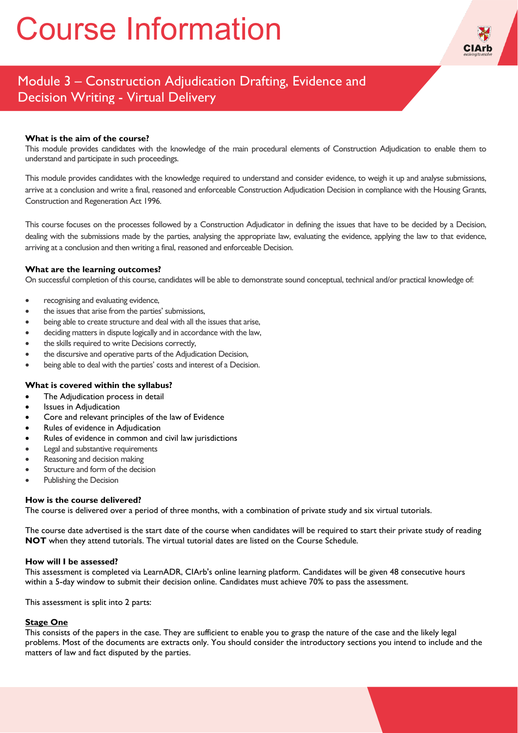# Course Information



## Module 3 – Construction Adjudication Drafting, Evidence and Decision Writing - Virtual Delivery

### **What is the aim of the course?**

This module provides candidates with the knowledge of the main procedural elements of Construction Adjudication to enable them to understand and participate in such proceedings.

This module provides candidates with the knowledge required to understand and consider evidence, to weigh it up and analyse submissions, arrive at a conclusion and write a final, reasoned and enforceable Construction Adjudication Decision in compliance with the Housing Grants, Construction and Regeneration Act 1996.

This course focuses on the processes followed by a Construction Adjudicator in defining the issues that have to be decided by a Decision, dealing with the submissions made by the parties, analysing the appropriate law, evaluating the evidence, applying the law to that evidence, arriving at a conclusion and then writing a final, reasoned and enforceable Decision.

#### **What are the learning outcomes?**

On successful completion of this course, candidates will be able to demonstrate sound conceptual, technical and/or practical knowledge of:

- recognising and evaluating evidence,
- the issues that arise from the parties' submissions,
- being able to create structure and deal with all the issues that arise,
- deciding matters in dispute logically and in accordance with the law,
- the skills required to write Decisions correctly,
- the discursive and operative parts of the Adjudication Decision,
- being able to deal with the parties' costs and interest of a Decision.

#### **What is covered within the syllabus?**

- The Adjudication process in detail
- Issues in Adjudication
- Core and relevant principles of the law of Evidence
- Rules of evidence in Adjudication
- Rules of evidence in common and civil law jurisdictions
- Legal and substantive requirements
- Reasoning and decision making
- Structure and form of the decision
- Publishing the Decision

#### **How is the course delivered?**

The course is delivered over a period of three months, with a combination of private study and six virtual tutorials.

The course date advertised is the start date of the course when candidates will be required to start their private study of reading **NOT** when they attend tutorials. The virtual tutorial dates are listed on the Course Schedule.

#### **How will I be assessed?**

This assessment is completed via LearnADR, CIArb's online learning platform. Candidates will be given 48 consecutive hours within a 5-day window to submit their decision online. Candidates must achieve 70% to pass the assessment.

This assessment is split into 2 parts:

#### **Stage One**

This consists of the papers in the case. They are sufficient to enable you to grasp the nature of the case and the likely legal problems. Most of the documents are extracts only. You should consider the introductory sections you intend to include and the matters of law and fact disputed by the parties.